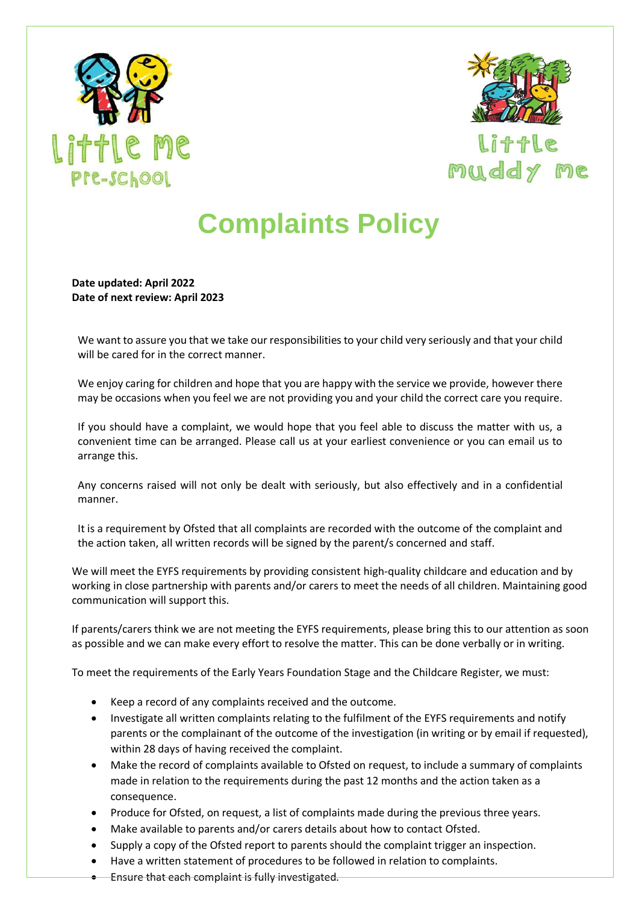



Little muddy me

## **Complaints Policy**

**Date updated: April 2022 Date of next review: April 2023**

We want to assure you that we take our responsibilities to your child very seriously and that your child will be cared for in the correct manner.

We enjoy caring for children and hope that you are happy with the service we provide, however there may be occasions when you feel we are not providing you and your child the correct care you require.

If you should have a complaint, we would hope that you feel able to discuss the matter with us, a convenient time can be arranged. Please call us at your earliest convenience or you can email us to arrange this.

Any concerns raised will not only be dealt with seriously, but also effectively and in a confidential manner.

It is a requirement by Ofsted that all complaints are recorded with the outcome of the complaint and the action taken, all written records will be signed by the parent/s concerned and staff.

We will meet the EYFS requirements by providing consistent high-quality childcare and education and by working in close partnership with parents and/or carers to meet the needs of all children. Maintaining good communication will support this.

If parents/carers think we are not meeting the EYFS requirements, please bring this to our attention as soon as possible and we can make every effort to resolve the matter. This can be done verbally or in writing.

To meet the requirements of the Early Years Foundation Stage and the Childcare Register, we must:

- Keep a record of any complaints received and the outcome.
- Investigate all written complaints relating to the fulfilment of the EYFS requirements and notify parents or the complainant of the outcome of the investigation (in writing or by email if requested), within 28 days of having received the complaint.
- Make the record of complaints available to Ofsted on request, to include a summary of complaints made in relation to the requirements during the past 12 months and the action taken as a consequence.
- Produce for Ofsted, on request, a list of complaints made during the previous three years.
- Make available to parents and/or carers details about how to contact Ofsted.
- Supply a copy of the Ofsted report to parents should the complaint trigger an inspection.
- Have a written statement of procedures to be followed in relation to complaints.
- Ensure that each complaint is fully investigated.